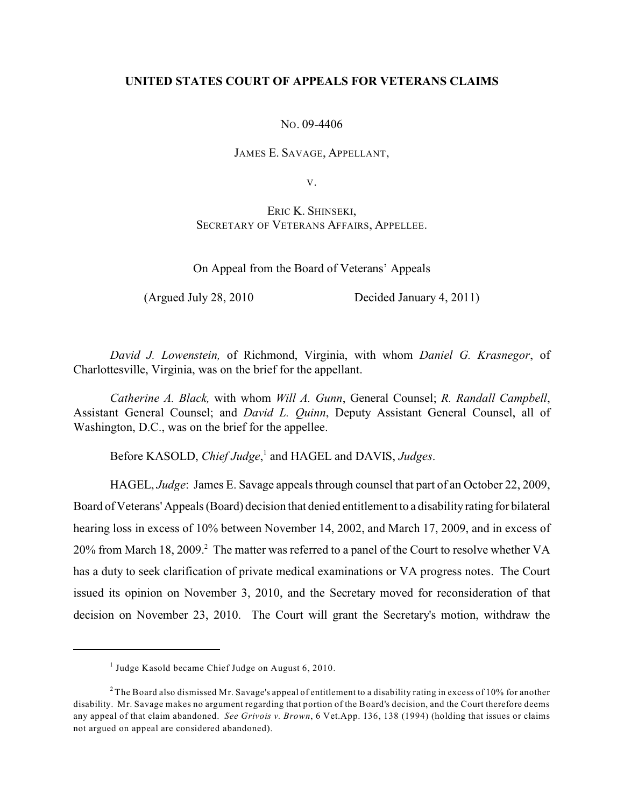## **UNITED STATES COURT OF APPEALS FOR VETERANS CLAIMS**

NO. 09-4406

JAMES E. SAVAGE, APPELLANT,

V.

ERIC K. SHINSEKI, SECRETARY OF VETERANS AFFAIRS, APPELLEE.

On Appeal from the Board of Veterans' Appeals

(Argued July 28, 2010 Decided January 4, 2011)

*David J. Lowenstein,* of Richmond, Virginia, with whom *Daniel G. Krasnegor*, of Charlottesville, Virginia, was on the brief for the appellant.

*Catherine A. Black,* with whom *Will A. Gunn*, General Counsel; *R. Randall Campbell*, Assistant General Counsel; and *David L. Quinn*, Deputy Assistant General Counsel, all of Washington, D.C., was on the brief for the appellee.

Before KASOLD, *Chief Judge*,<sup>1</sup> and HAGEL and DAVIS, *Judges*.

HAGEL, *Judge*: James E. Savage appeals through counsel that part of an October 22, 2009, Board of Veterans' Appeals (Board) decision that denied entitlement to a disability rating for bilateral hearing loss in excess of 10% between November 14, 2002, and March 17, 2009, and in excess of 20% from March 18, 2009.<sup>2</sup> The matter was referred to a panel of the Court to resolve whether VA has a duty to seek clarification of private medical examinations or VA progress notes. The Court issued its opinion on November 3, 2010, and the Secretary moved for reconsideration of that decision on November 23, 2010. The Court will grant the Secretary's motion, withdraw the

 $<sup>1</sup>$  Judge Kasold became Chief Judge on August 6, 2010.</sup>

 $2$  The Board also dismissed Mr. Savage's appeal of entitlement to a disability rating in excess of 10% for another disability. Mr. Savage makes no argument regarding that portion of the Board's decision, and the Court therefore deems any appeal of that claim abandoned. *See Grivois v. Brown*, 6 Vet.App. 136, 138 (1994) (holding that issues or claims not argued on appeal are considered abandoned).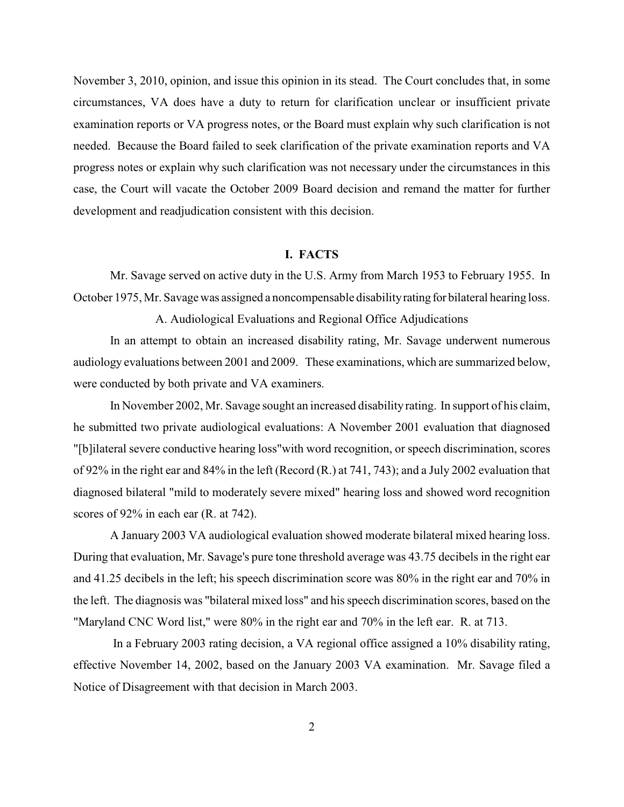November 3, 2010, opinion, and issue this opinion in its stead. The Court concludes that, in some circumstances, VA does have a duty to return for clarification unclear or insufficient private examination reports or VA progress notes, or the Board must explain why such clarification is not needed. Because the Board failed to seek clarification of the private examination reports and VA progress notes or explain why such clarification was not necessary under the circumstances in this case, the Court will vacate the October 2009 Board decision and remand the matter for further development and readjudication consistent with this decision.

## **I. FACTS**

Mr. Savage served on active duty in the U.S. Army from March 1953 to February 1955. In October 1975, Mr. Savage was assigned a noncompensable disability rating for bilateral hearing loss.

A. Audiological Evaluations and Regional Office Adjudications

In an attempt to obtain an increased disability rating, Mr. Savage underwent numerous audiology evaluations between 2001 and 2009. These examinations, which are summarized below, were conducted by both private and VA examiners.

In November 2002, Mr. Savage sought an increased disabilityrating. In support of his claim, he submitted two private audiological evaluations: A November 2001 evaluation that diagnosed "[b]ilateral severe conductive hearing loss"with word recognition, or speech discrimination, scores of 92% in the right ear and 84% in the left (Record (R.) at 741, 743); and a July 2002 evaluation that diagnosed bilateral "mild to moderately severe mixed" hearing loss and showed word recognition scores of 92% in each ear (R. at 742).

A January 2003 VA audiological evaluation showed moderate bilateral mixed hearing loss. During that evaluation, Mr. Savage's pure tone threshold average was 43.75 decibels in the right ear and 41.25 decibels in the left; his speech discrimination score was 80% in the right ear and 70% in the left. The diagnosis was "bilateral mixed loss" and his speech discrimination scores, based on the "Maryland CNC Word list," were 80% in the right ear and 70% in the left ear. R. at 713.

 In a February 2003 rating decision, a VA regional office assigned a 10% disability rating, effective November 14, 2002, based on the January 2003 VA examination. Mr. Savage filed a Notice of Disagreement with that decision in March 2003.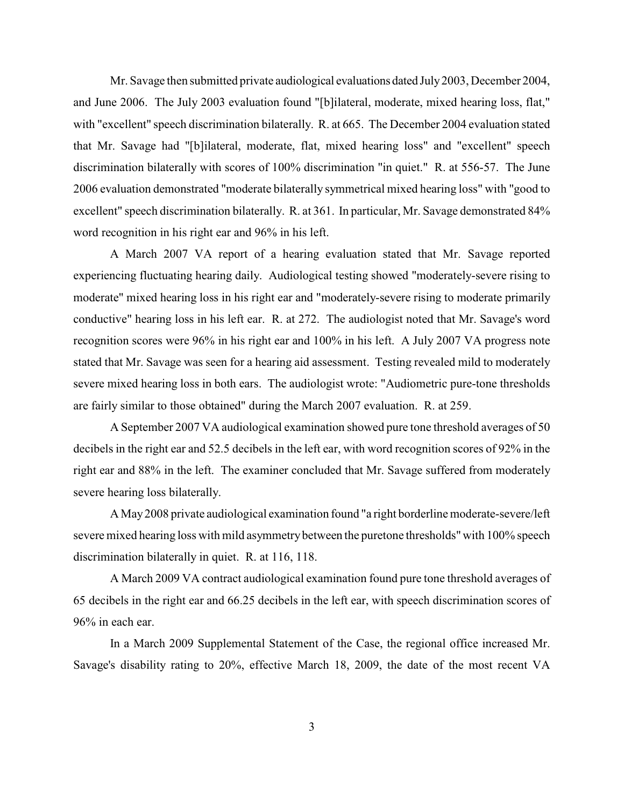Mr. Savage then submitted private audiological evaluations dated July 2003, December 2004, and June 2006. The July 2003 evaluation found "[b]ilateral, moderate, mixed hearing loss, flat," with "excellent" speech discrimination bilaterally. R. at 665. The December 2004 evaluation stated that Mr. Savage had "[b]ilateral, moderate, flat, mixed hearing loss" and "excellent" speech discrimination bilaterally with scores of 100% discrimination "in quiet." R. at 556-57. The June 2006 evaluation demonstrated "moderate bilaterally symmetrical mixed hearing loss" with "good to excellent" speech discrimination bilaterally. R. at 361. In particular, Mr. Savage demonstrated 84% word recognition in his right ear and 96% in his left.

A March 2007 VA report of a hearing evaluation stated that Mr. Savage reported experiencing fluctuating hearing daily. Audiological testing showed "moderately-severe rising to moderate" mixed hearing loss in his right ear and "moderately-severe rising to moderate primarily conductive" hearing loss in his left ear. R. at 272. The audiologist noted that Mr. Savage's word recognition scores were 96% in his right ear and 100% in his left. A July 2007 VA progress note stated that Mr. Savage was seen for a hearing aid assessment. Testing revealed mild to moderately severe mixed hearing loss in both ears. The audiologist wrote: "Audiometric pure-tone thresholds are fairly similar to those obtained" during the March 2007 evaluation. R. at 259.

A September 2007 VA audiological examination showed pure tone threshold averages of 50 decibels in the right ear and 52.5 decibels in the left ear, with word recognition scores of 92% in the right ear and 88% in the left. The examiner concluded that Mr. Savage suffered from moderately severe hearing loss bilaterally.

A May 2008 private audiological examination found "a right borderline moderate-severe/left severe mixed hearing loss with mild asymmetrybetween the puretone thresholds" with 100% speech discrimination bilaterally in quiet. R. at 116, 118.

A March 2009 VA contract audiological examination found pure tone threshold averages of 65 decibels in the right ear and 66.25 decibels in the left ear, with speech discrimination scores of 96% in each ear.

In a March 2009 Supplemental Statement of the Case, the regional office increased Mr. Savage's disability rating to 20%, effective March 18, 2009, the date of the most recent VA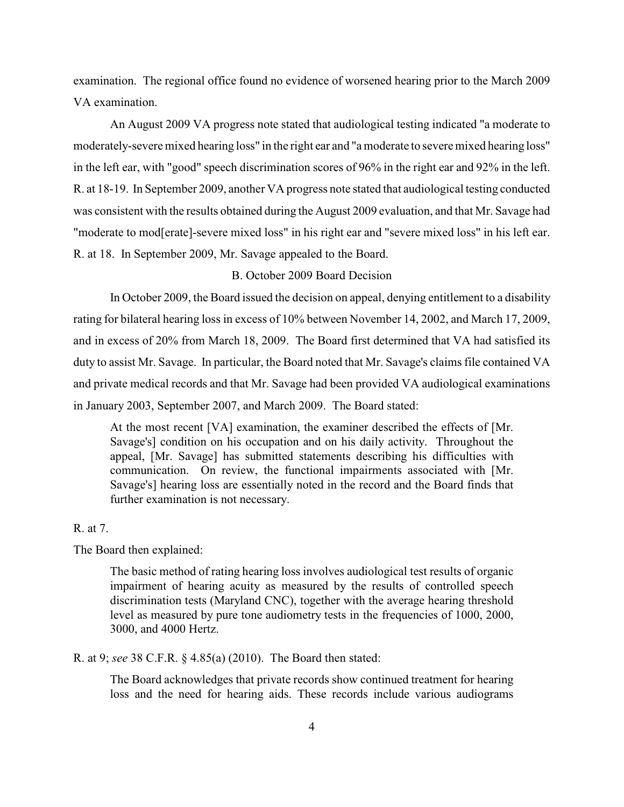examination. The regional office found no evidence of worsened hearing prior to the March 2009 VA examination.

An August 2009 VA progress note stated that audiological testing indicated "a moderate to moderately-severe mixed hearing loss" in the right ear and "a moderate to severemixed hearing loss" in the left ear, with "good" speech discrimination scores of 96% in the right ear and 92% in the left. R. at 18-19. In September 2009, another VA progress note stated that audiological testing conducted was consistent with the results obtained during the August 2009 evaluation, and that Mr. Savage had "moderate to mod[erate]-severe mixed loss" in his right ear and "severe mixed loss" in his left ear. R. at 18. In September 2009, Mr. Savage appealed to the Board.

# B. October 2009 Board Decision

In October 2009, the Board issued the decision on appeal, denying entitlement to a disability rating for bilateral hearing loss in excess of 10% between November 14, 2002, and March 17, 2009, and in excess of 20% from March 18, 2009. The Board first determined that VA had satisfied its duty to assist Mr. Savage. In particular, the Board noted that Mr. Savage's claims file contained VA and private medical records and that Mr. Savage had been provided VA audiological examinations in January 2003, September 2007, and March 2009. The Board stated:

At the most recent [VA] examination, the examiner described the effects of [Mr. Savage's] condition on his occupation and on his daily activity. Throughout the appeal, [Mr. Savage] has submitted statements describing his difficulties with communication. On review, the functional impairments associated with [Mr. Savage's] hearing loss are essentially noted in the record and the Board finds that further examination is not necessary.

# R. at 7.

The Board then explained:

The basic method of rating hearing loss involves audiological test results of organic impairment of hearing acuity as measured by the results of controlled speech discrimination tests (Maryland CNC), together with the average hearing threshold level as measured by pure tone audiometry tests in the frequencies of 1000, 2000, 3000, and 4000 Hertz.

R. at 9; *see* 38 C.F.R. § 4.85(a) (2010). The Board then stated:

The Board acknowledges that private records show continued treatment for hearing loss and the need for hearing aids. These records include various audiograms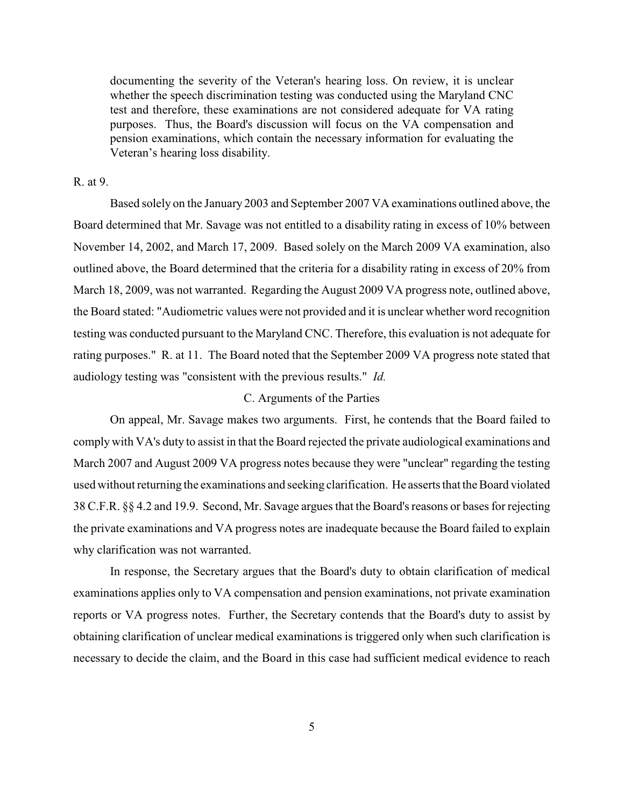documenting the severity of the Veteran's hearing loss. On review, it is unclear whether the speech discrimination testing was conducted using the Maryland CNC test and therefore, these examinations are not considered adequate for VA rating purposes. Thus, the Board's discussion will focus on the VA compensation and pension examinations, which contain the necessary information for evaluating the Veteran's hearing loss disability.

### R. at 9.

Based solely on the January 2003 and September 2007 VA examinations outlined above, the Board determined that Mr. Savage was not entitled to a disability rating in excess of 10% between November 14, 2002, and March 17, 2009. Based solely on the March 2009 VA examination, also outlined above, the Board determined that the criteria for a disability rating in excess of 20% from March 18, 2009, was not warranted. Regarding the August 2009 VA progress note, outlined above, the Board stated: "Audiometric values were not provided and it is unclear whether word recognition testing was conducted pursuant to the Maryland CNC. Therefore, this evaluation is not adequate for rating purposes." R. at 11. The Board noted that the September 2009 VA progress note stated that audiology testing was "consistent with the previous results." *Id.*

# C. Arguments of the Parties

On appeal, Mr. Savage makes two arguments. First, he contends that the Board failed to comply with VA's duty to assist in that the Board rejected the private audiological examinations and March 2007 and August 2009 VA progress notes because they were "unclear" regarding the testing used without returning the examinations and seeking clarification. He asserts that the Board violated 38 C.F.R. §§ 4.2 and 19.9. Second, Mr. Savage argues that the Board's reasons or bases for rejecting the private examinations and VA progress notes are inadequate because the Board failed to explain why clarification was not warranted.

In response, the Secretary argues that the Board's duty to obtain clarification of medical examinations applies only to VA compensation and pension examinations, not private examination reports or VA progress notes. Further, the Secretary contends that the Board's duty to assist by obtaining clarification of unclear medical examinations is triggered only when such clarification is necessary to decide the claim, and the Board in this case had sufficient medical evidence to reach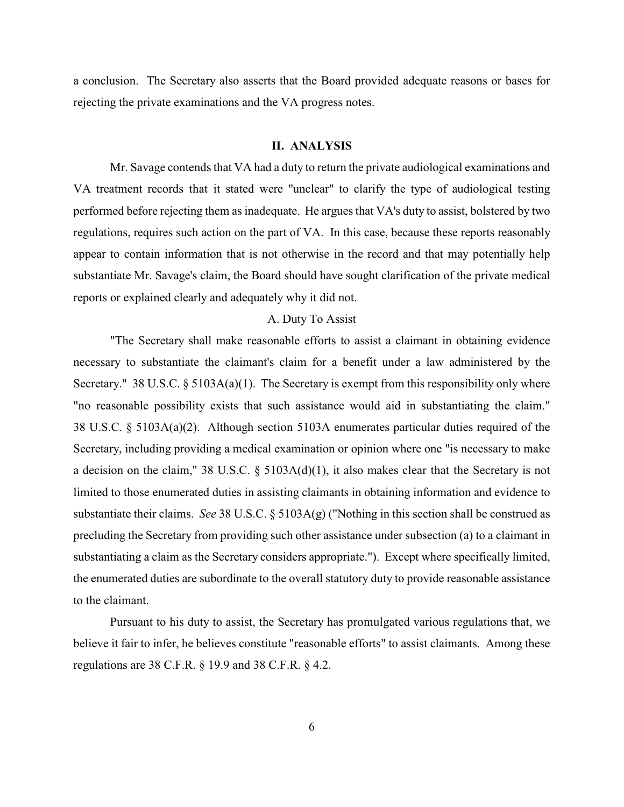a conclusion. The Secretary also asserts that the Board provided adequate reasons or bases for rejecting the private examinations and the VA progress notes.

### **II. ANALYSIS**

Mr. Savage contends that VA had a duty to return the private audiological examinations and VA treatment records that it stated were "unclear" to clarify the type of audiological testing performed before rejecting them as inadequate. He argues that VA's duty to assist, bolstered by two regulations, requires such action on the part of VA. In this case, because these reports reasonably appear to contain information that is not otherwise in the record and that may potentially help substantiate Mr. Savage's claim, the Board should have sought clarification of the private medical reports or explained clearly and adequately why it did not.

## A. Duty To Assist

"The Secretary shall make reasonable efforts to assist a claimant in obtaining evidence necessary to substantiate the claimant's claim for a benefit under a law administered by the Secretary." 38 U.S.C.  $\S$  5103A(a)(1). The Secretary is exempt from this responsibility only where "no reasonable possibility exists that such assistance would aid in substantiating the claim." 38 U.S.C. § 5103A(a)(2). Although section 5103A enumerates particular duties required of the Secretary, including providing a medical examination or opinion where one "is necessary to make a decision on the claim," 38 U.S.C. § 5103A(d)(1), it also makes clear that the Secretary is not limited to those enumerated duties in assisting claimants in obtaining information and evidence to substantiate their claims. *See* 38 U.S.C. § 5103A(g) ("Nothing in this section shall be construed as precluding the Secretary from providing such other assistance under subsection (a) to a claimant in substantiating a claim as the Secretary considers appropriate."). Except where specifically limited, the enumerated duties are subordinate to the overall statutory duty to provide reasonable assistance to the claimant.

Pursuant to his duty to assist, the Secretary has promulgated various regulations that, we believe it fair to infer, he believes constitute "reasonable efforts" to assist claimants. Among these regulations are 38 C.F.R. § 19.9 and 38 C.F.R. § 4.2.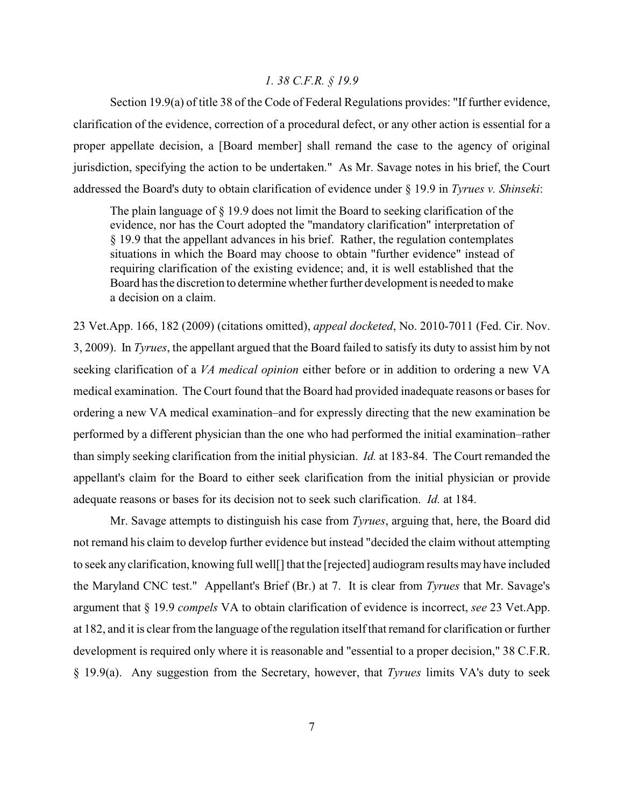### *1. 38 C.F.R. § 19.9*

Section 19.9(a) of title 38 of the Code of Federal Regulations provides: "If further evidence, clarification of the evidence, correction of a procedural defect, or any other action is essential for a proper appellate decision, a [Board member] shall remand the case to the agency of original jurisdiction, specifying the action to be undertaken." As Mr. Savage notes in his brief, the Court addressed the Board's duty to obtain clarification of evidence under § 19.9 in *Tyrues v. Shinseki*:

The plain language of § 19.9 does not limit the Board to seeking clarification of the evidence, nor has the Court adopted the "mandatory clarification" interpretation of § 19.9 that the appellant advances in his brief. Rather, the regulation contemplates situations in which the Board may choose to obtain "further evidence" instead of requiring clarification of the existing evidence; and, it is well established that the Board has the discretion to determine whether further development is needed to make a decision on a claim.

23 Vet.App. 166, 182 (2009) (citations omitted), *appeal docketed*, No. 2010-7011 (Fed. Cir. Nov. 3, 2009). In *Tyrues*, the appellant argued that the Board failed to satisfy its duty to assist him by not seeking clarification of a *VA medical opinion* either before or in addition to ordering a new VA medical examination. The Court found that the Board had provided inadequate reasons or bases for ordering a new VA medical examination–and for expressly directing that the new examination be performed by a different physician than the one who had performed the initial examination–rather than simply seeking clarification from the initial physician. *Id.* at 183-84. The Court remanded the appellant's claim for the Board to either seek clarification from the initial physician or provide adequate reasons or bases for its decision not to seek such clarification. *Id.* at 184.

Mr. Savage attempts to distinguish his case from *Tyrues*, arguing that, here, the Board did not remand his claim to develop further evidence but instead "decided the claim without attempting to seek any clarification, knowing full well[] that the [rejected] audiogram results may have included the Maryland CNC test." Appellant's Brief (Br.) at 7. It is clear from *Tyrues* that Mr. Savage's argument that § 19.9 *compels* VA to obtain clarification of evidence is incorrect, *see* 23 Vet.App. at 182, and it is clear from the language of the regulation itself that remand for clarification or further development is required only where it is reasonable and "essential to a proper decision," 38 C.F.R. § 19.9(a). Any suggestion from the Secretary, however, that *Tyrues* limits VA's duty to seek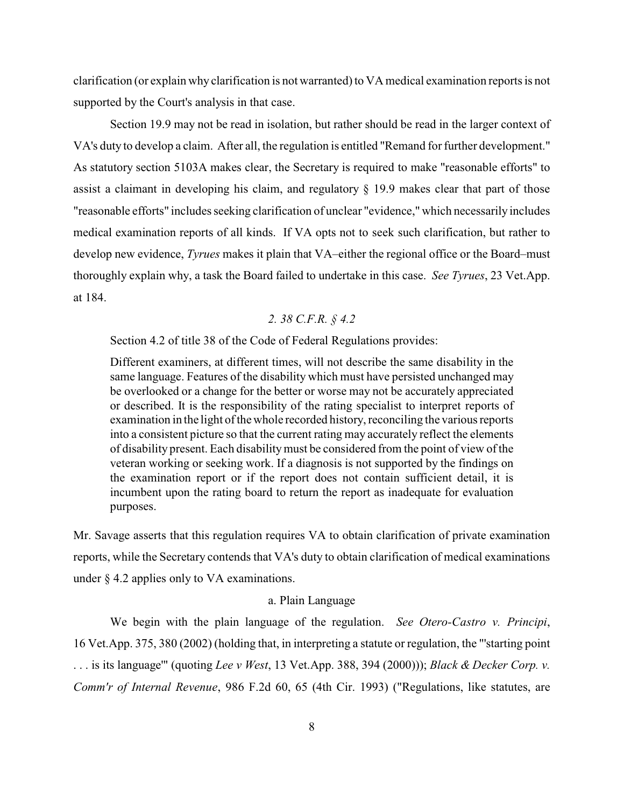clarification (or explain why clarification is not warranted) to VA medical examination reports is not supported by the Court's analysis in that case.

Section 19.9 may not be read in isolation, but rather should be read in the larger context of VA's duty to develop a claim. After all, the regulation is entitled "Remand for further development." As statutory section 5103A makes clear, the Secretary is required to make "reasonable efforts" to assist a claimant in developing his claim, and regulatory § 19.9 makes clear that part of those "reasonable efforts" includes seeking clarification of unclear "evidence," which necessarily includes medical examination reports of all kinds. If VA opts not to seek such clarification, but rather to develop new evidence, *Tyrues* makes it plain that VA–either the regional office or the Board–must thoroughly explain why, a task the Board failed to undertake in this case. *See Tyrues*, 23 Vet.App. at 184.

# *2. 38 C.F.R. § 4.2*

Section 4.2 of title 38 of the Code of Federal Regulations provides:

Different examiners, at different times, will not describe the same disability in the same language. Features of the disability which must have persisted unchanged may be overlooked or a change for the better or worse may not be accurately appreciated or described. It is the responsibility of the rating specialist to interpret reports of examination in the light of the whole recorded history, reconciling the various reports into a consistent picture so that the current rating may accurately reflect the elements of disability present. Each disability must be considered from the point of view of the veteran working or seeking work. If a diagnosis is not supported by the findings on the examination report or if the report does not contain sufficient detail, it is incumbent upon the rating board to return the report as inadequate for evaluation purposes.

Mr. Savage asserts that this regulation requires VA to obtain clarification of private examination reports, while the Secretary contends that VA's duty to obtain clarification of medical examinations under § 4.2 applies only to VA examinations.

### a. Plain Language

We begin with the plain language of the regulation. *See Otero-Castro v. Principi*, 16 Vet.App. 375, 380 (2002) (holding that, in interpreting a statute or regulation, the "'starting point . . . is its language'" (quoting *Lee v West*, 13 Vet.App. 388, 394 (2000))); *Black & Decker Corp. v. Comm'r of Internal Revenue*, 986 F.2d 60, 65 (4th Cir. 1993) ("Regulations, like statutes, are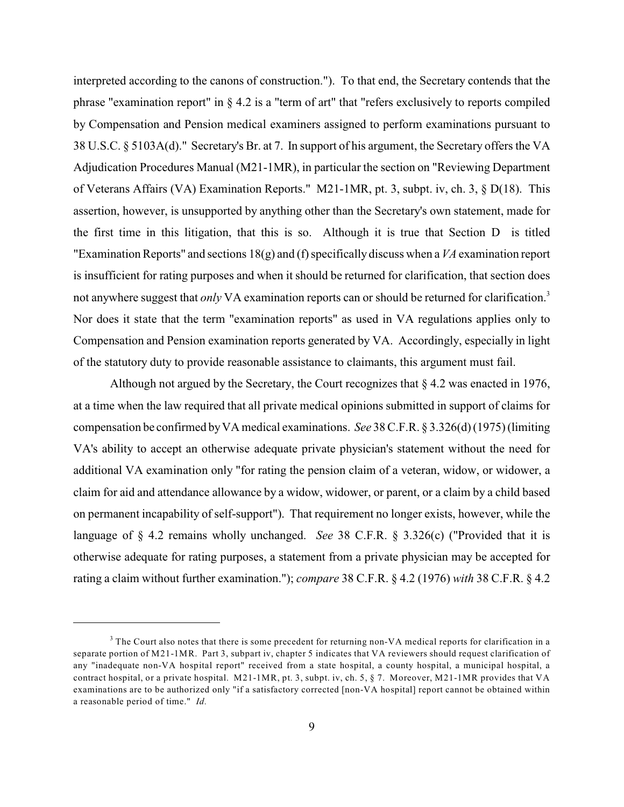interpreted according to the canons of construction."). To that end, the Secretary contends that the phrase "examination report" in § 4.2 is a "term of art" that "refers exclusively to reports compiled by Compensation and Pension medical examiners assigned to perform examinations pursuant to 38 U.S.C. § 5103A(d)." Secretary's Br. at 7. In support of his argument, the Secretary offers the VA Adjudication Procedures Manual (M21-1MR), in particular the section on "Reviewing Department of Veterans Affairs (VA) Examination Reports." M21-1MR, pt. 3, subpt. iv, ch. 3, § D(18). This assertion, however, is unsupported by anything other than the Secretary's own statement, made for the first time in this litigation, that this is so. Although it is true that Section D is titled "Examination Reports" and sections 18(g) and (f) specifically discuss when a*VA* examination report is insufficient for rating purposes and when it should be returned for clarification, that section does not anywhere suggest that *only* VA examination reports can or should be returned for clarification.<sup>3</sup> Nor does it state that the term "examination reports" as used in VA regulations applies only to Compensation and Pension examination reports generated by VA. Accordingly, especially in light of the statutory duty to provide reasonable assistance to claimants, this argument must fail.

Although not argued by the Secretary, the Court recognizes that § 4.2 was enacted in 1976, at a time when the law required that all private medical opinions submitted in support of claims for compensation be confirmed byVA medical examinations. *See* 38 C.F.R. § 3.326(d) (1975) (limiting VA's ability to accept an otherwise adequate private physician's statement without the need for additional VA examination only "for rating the pension claim of a veteran, widow, or widower, a claim for aid and attendance allowance by a widow, widower, or parent, or a claim by a child based on permanent incapability of self-support"). That requirement no longer exists, however, while the language of § 4.2 remains wholly unchanged. *See* 38 C.F.R. § 3.326(c) ("Provided that it is otherwise adequate for rating purposes, a statement from a private physician may be accepted for rating a claim without further examination."); *compare* 38 C.F.R. § 4.2 (1976) *with* 38 C.F.R. § 4.2

<sup>&</sup>lt;sup>3</sup> The Court also notes that there is some precedent for returning non-VA medical reports for clarification in a separate portion of M21-1MR. Part 3, subpart iv, chapter 5 indicates that VA reviewers should request clarification of any "inadequate non-VA hospital report" received from a state hospital, a county hospital, a municipal hospital, a contract hospital, or a private hospital. M21-1MR, pt. 3, subpt. iv, ch. 5, § 7. Moreover, M21-1MR provides that VA examinations are to be authorized only "if a satisfactory corrected [non-VA hospital] report cannot be obtained within a reasonable period of time." *Id.*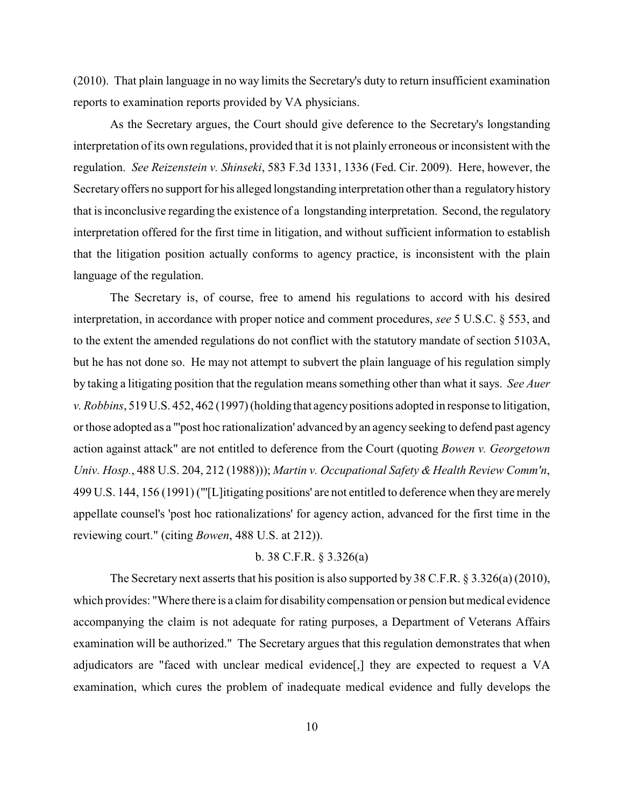(2010). That plain language in no way limits the Secretary's duty to return insufficient examination reports to examination reports provided by VA physicians.

As the Secretary argues, the Court should give deference to the Secretary's longstanding interpretation of its own regulations, provided that it is not plainly erroneous or inconsistent with the regulation. *See Reizenstein v. Shinseki*, 583 F.3d 1331, 1336 (Fed. Cir. 2009). Here, however, the Secretary offers no support for his alleged longstanding interpretation other than a regulatory history that is inconclusive regarding the existence of a longstanding interpretation. Second, the regulatory interpretation offered for the first time in litigation, and without sufficient information to establish that the litigation position actually conforms to agency practice, is inconsistent with the plain language of the regulation.

The Secretary is, of course, free to amend his regulations to accord with his desired interpretation, in accordance with proper notice and comment procedures, *see* 5 U.S.C. § 553, and to the extent the amended regulations do not conflict with the statutory mandate of section 5103A, but he has not done so. He may not attempt to subvert the plain language of his regulation simply by taking a litigating position that the regulation means something other than what it says. *See Auer v. Robbins*, 519 U.S. 452, 462 (1997) (holding that agency positions adopted in response to litigation, or those adopted as a "'post hoc rationalization' advanced by an agency seeking to defend past agency action against attack" are not entitled to deference from the Court (quoting *Bowen v. Georgetown Univ. Hosp.*, 488 U.S. 204, 212 (1988))); *Martin v. Occupational Safety & Health Review Comm'n*, 499 U.S. 144, 156 (1991) ("'[L]itigating positions' are not entitled to deference when they are merely appellate counsel's 'post hoc rationalizations' for agency action, advanced for the first time in the reviewing court." (citing *Bowen*, 488 U.S. at 212)).

## b. 38 C.F.R. § 3.326(a)

The Secretary next asserts that his position is also supported by 38 C.F.R. § 3.326(a) (2010), which provides: "Where there is a claim for disability compensation or pension but medical evidence accompanying the claim is not adequate for rating purposes, a Department of Veterans Affairs examination will be authorized." The Secretary argues that this regulation demonstrates that when adjudicators are "faced with unclear medical evidence[,] they are expected to request a VA examination, which cures the problem of inadequate medical evidence and fully develops the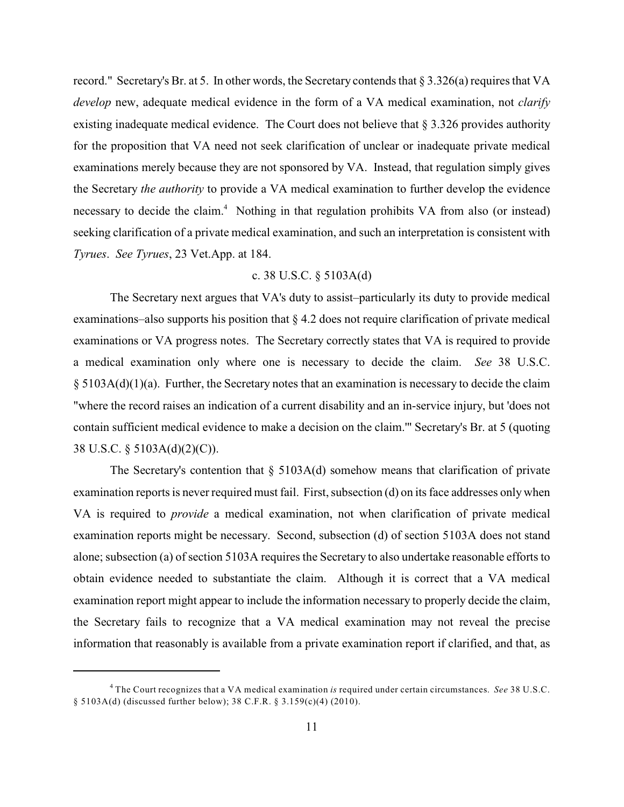record." Secretary's Br. at 5. In other words, the Secretary contends that § 3.326(a) requires that VA *develop* new, adequate medical evidence in the form of a VA medical examination, not *clarify* existing inadequate medical evidence. The Court does not believe that § 3.326 provides authority for the proposition that VA need not seek clarification of unclear or inadequate private medical examinations merely because they are not sponsored by VA. Instead, that regulation simply gives the Secretary *the authority* to provide a VA medical examination to further develop the evidence necessary to decide the claim.<sup>4</sup> Nothing in that regulation prohibits VA from also (or instead) seeking clarification of a private medical examination, and such an interpretation is consistent with *Tyrues*. *See Tyrues*, 23 Vet.App. at 184.

### c. 38 U.S.C. § 5103A(d)

The Secretary next argues that VA's duty to assist–particularly its duty to provide medical examinations–also supports his position that § 4.2 does not require clarification of private medical examinations or VA progress notes. The Secretary correctly states that VA is required to provide a medical examination only where one is necessary to decide the claim. *See* 38 U.S.C. § 5103A(d)(1)(a). Further, the Secretary notes that an examination is necessary to decide the claim "where the record raises an indication of a current disability and an in-service injury, but 'does not contain sufficient medical evidence to make a decision on the claim.'" Secretary's Br. at 5 (quoting 38 U.S.C. § 5103A(d)(2)(C)).

The Secretary's contention that  $\S$  5103A(d) somehow means that clarification of private examination reports is never required must fail. First, subsection (d) on its face addresses only when VA is required to *provide* a medical examination, not when clarification of private medical examination reports might be necessary. Second, subsection (d) of section 5103A does not stand alone; subsection (a) of section 5103A requires the Secretary to also undertake reasonable efforts to obtain evidence needed to substantiate the claim. Although it is correct that a VA medical examination report might appear to include the information necessary to properly decide the claim, the Secretary fails to recognize that a VA medical examination may not reveal the precise information that reasonably is available from a private examination report if clarified, and that, as

The Court recognizes that a VA medical examination *is* required under certain circumstances. *See* 38 U.S.C. <sup>4</sup> § 5103A(d) (discussed further below); 38 C.F.R. § 3.159(c)(4) (2010).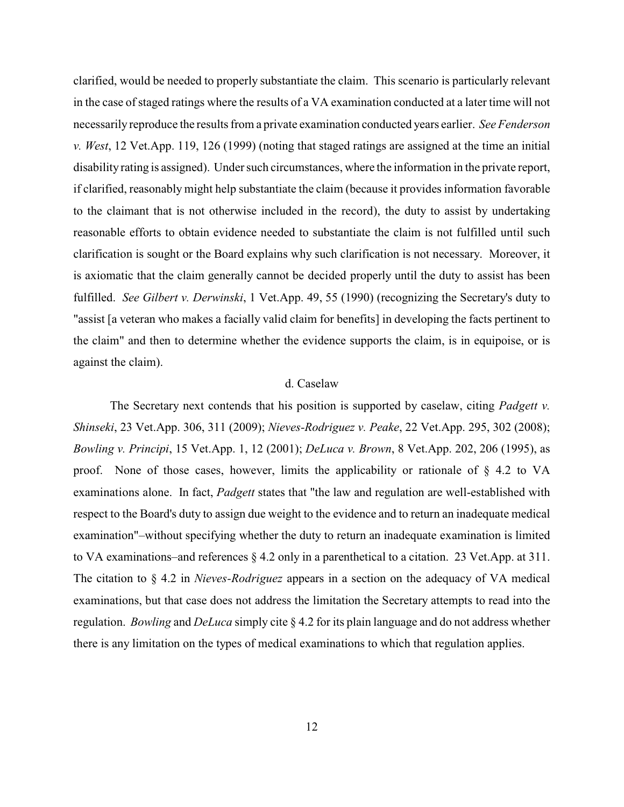clarified, would be needed to properly substantiate the claim. This scenario is particularly relevant in the case of staged ratings where the results of a VA examination conducted at a later time will not necessarily reproduce the results from a private examination conducted years earlier. *See Fenderson v. West*, 12 Vet.App. 119, 126 (1999) (noting that staged ratings are assigned at the time an initial disabilityrating is assigned). Under such circumstances, where the information in the private report, if clarified, reasonably might help substantiate the claim (because it provides information favorable to the claimant that is not otherwise included in the record), the duty to assist by undertaking reasonable efforts to obtain evidence needed to substantiate the claim is not fulfilled until such clarification is sought or the Board explains why such clarification is not necessary. Moreover, it is axiomatic that the claim generally cannot be decided properly until the duty to assist has been fulfilled. *See Gilbert v. Derwinski*, 1 Vet.App. 49, 55 (1990) (recognizing the Secretary's duty to "assist [a veteran who makes a facially valid claim for benefits] in developing the facts pertinent to the claim" and then to determine whether the evidence supports the claim, is in equipoise, or is against the claim).

#### d. Caselaw

The Secretary next contends that his position is supported by caselaw, citing *Padgett v. Shinseki*, 23 Vet.App. 306, 311 (2009); *Nieves-Rodriguez v. Peake*, 22 Vet.App. 295, 302 (2008); *Bowling v. Principi*, 15 Vet.App. 1, 12 (2001); *DeLuca v. Brown*, 8 Vet.App. 202, 206 (1995), as proof. None of those cases, however, limits the applicability or rationale of § 4.2 to VA examinations alone. In fact, *Padgett* states that "the law and regulation are well-established with respect to the Board's duty to assign due weight to the evidence and to return an inadequate medical examination"–without specifying whether the duty to return an inadequate examination is limited to VA examinations–and references § 4.2 only in a parenthetical to a citation. 23 Vet.App. at 311. The citation to § 4.2 in *Nieves-Rodriguez* appears in a section on the adequacy of VA medical examinations, but that case does not address the limitation the Secretary attempts to read into the regulation. *Bowling* and *DeLuca* simply cite § 4.2 for its plain language and do not address whether there is any limitation on the types of medical examinations to which that regulation applies.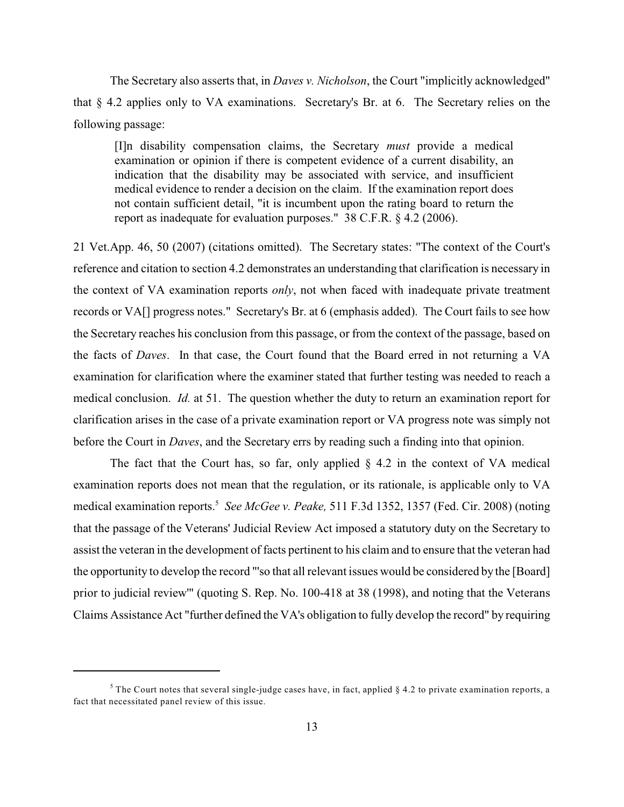The Secretary also asserts that, in *Daves v. Nicholson*, the Court "implicitly acknowledged" that § 4.2 applies only to VA examinations. Secretary's Br. at 6. The Secretary relies on the following passage:

[I]n disability compensation claims, the Secretary *must* provide a medical examination or opinion if there is competent evidence of a current disability, an indication that the disability may be associated with service, and insufficient medical evidence to render a decision on the claim. If the examination report does not contain sufficient detail, "it is incumbent upon the rating board to return the report as inadequate for evaluation purposes." 38 C.F.R. § 4.2 (2006).

21 Vet.App. 46, 50 (2007) (citations omitted). The Secretary states: "The context of the Court's reference and citation to section 4.2 demonstrates an understanding that clarification is necessary in the context of VA examination reports *only*, not when faced with inadequate private treatment records or VA[] progress notes." Secretary's Br. at 6 (emphasis added). The Court fails to see how the Secretary reaches his conclusion from this passage, or from the context of the passage, based on the facts of *Daves*. In that case, the Court found that the Board erred in not returning a VA examination for clarification where the examiner stated that further testing was needed to reach a medical conclusion. *Id.* at 51. The question whether the duty to return an examination report for clarification arises in the case of a private examination report or VA progress note was simply not before the Court in *Daves*, and the Secretary errs by reading such a finding into that opinion.

The fact that the Court has, so far, only applied  $\S$  4.2 in the context of VA medical examination reports does not mean that the regulation, or its rationale, is applicable only to VA medical examination reports.<sup>5</sup> See McGee v. Peake, 511 F.3d 1352, 1357 (Fed. Cir. 2008) (noting that the passage of the Veterans' Judicial Review Act imposed a statutory duty on the Secretary to assist the veteran in the development of facts pertinent to his claim and to ensure that the veteran had the opportunity to develop the record "'so that all relevant issues would be considered by the [Board] prior to judicial review'" (quoting S. Rep. No. 100-418 at 38 (1998), and noting that the Veterans Claims Assistance Act "further defined the VA's obligation to fully develop the record" by requiring

 $5$  The Court notes that several single-judge cases have, in fact, applied § 4.2 to private examination reports, a fact that necessitated panel review of this issue.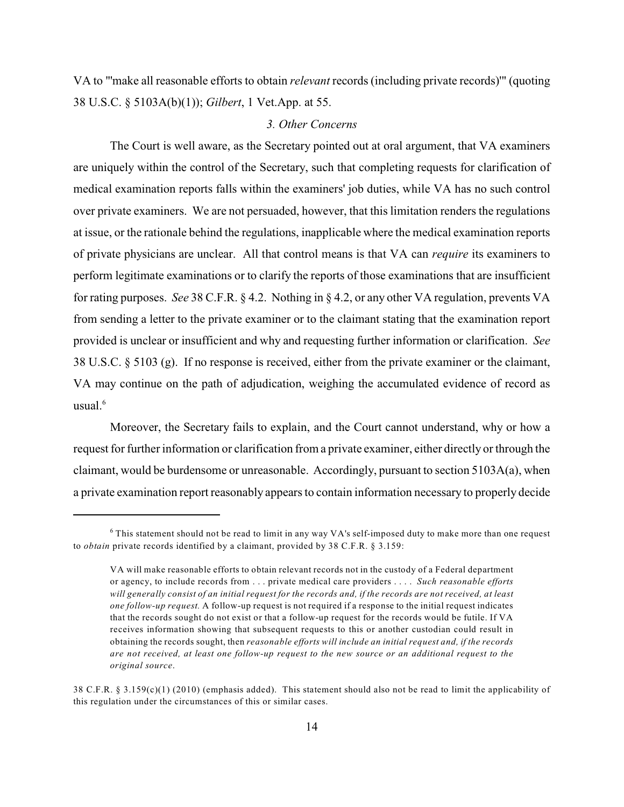VA to "'make all reasonable efforts to obtain *relevant* records (including private records)'" (quoting 38 U.S.C. § 5103A(b)(1)); *Gilbert*, 1 Vet.App. at 55.

#### *3. Other Concerns*

The Court is well aware, as the Secretary pointed out at oral argument, that VA examiners are uniquely within the control of the Secretary, such that completing requests for clarification of medical examination reports falls within the examiners' job duties, while VA has no such control over private examiners. We are not persuaded, however, that this limitation renders the regulations at issue, or the rationale behind the regulations, inapplicable where the medical examination reports of private physicians are unclear. All that control means is that VA can *require* its examiners to perform legitimate examinations or to clarify the reports of those examinations that are insufficient for rating purposes. *See* 38 C.F.R. § 4.2. Nothing in § 4.2, or any other VA regulation, prevents VA from sending a letter to the private examiner or to the claimant stating that the examination report provided is unclear or insufficient and why and requesting further information or clarification. *See* 38 U.S.C. § 5103 (g). If no response is received, either from the private examiner or the claimant, VA may continue on the path of adjudication, weighing the accumulated evidence of record as usual. $6$ 

Moreover, the Secretary fails to explain, and the Court cannot understand, why or how a request for further information or clarification from a private examiner, either directly or through the claimant, would be burdensome or unreasonable. Accordingly, pursuant to section 5103A(a), when a private examination report reasonably appears to contain information necessary to properly decide

 $6$  This statement should not be read to limit in any way VA's self-imposed duty to make more than one request to *obtain* private records identified by a claimant, provided by 38 C.F.R. § 3.159:

VA will make reasonable efforts to obtain relevant records not in the custody of a Federal department or agency, to include records from . . . private medical care providers . . . . *Such reasonable efforts will generally consist of an initial request for the records and, if the records are not received, at least one follow-up request.* A follow-up request is not required if a response to the initial request indicates that the records sought do not exist or that a follow-up request for the records would be futile. If VA receives information showing that subsequent requests to this or another custodian could result in obtaining the records sought, then *reasonable efforts will include an initial request and, if the records are not received, at least one follow-up request to the new source or an additional request to the original source*.

<sup>38</sup> C.F.R. § 3.159(c)(1) (2010) (emphasis added). This statement should also not be read to limit the applicability of this regulation under the circumstances of this or similar cases.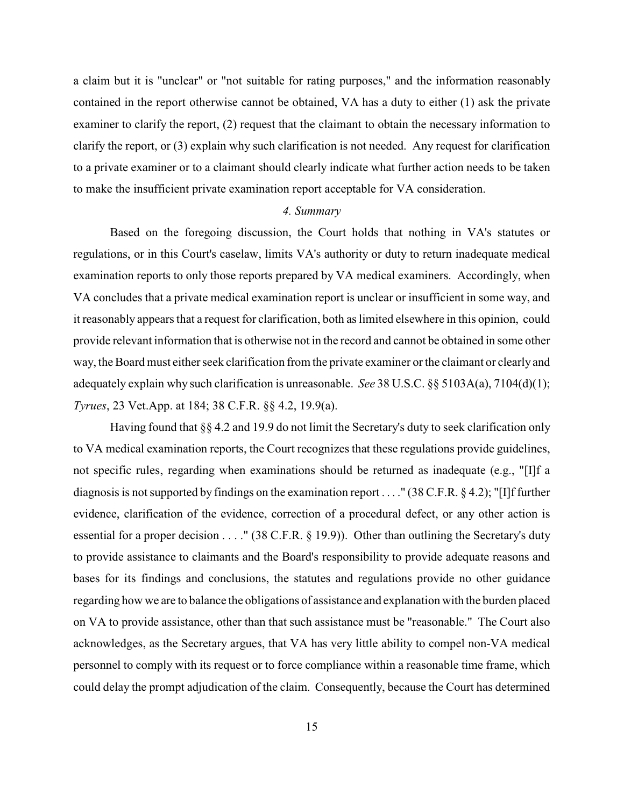a claim but it is "unclear" or "not suitable for rating purposes," and the information reasonably contained in the report otherwise cannot be obtained, VA has a duty to either (1) ask the private examiner to clarify the report, (2) request that the claimant to obtain the necessary information to clarify the report, or (3) explain why such clarification is not needed. Any request for clarification to a private examiner or to a claimant should clearly indicate what further action needs to be taken to make the insufficient private examination report acceptable for VA consideration.

#### *4. Summary*

Based on the foregoing discussion, the Court holds that nothing in VA's statutes or regulations, or in this Court's caselaw, limits VA's authority or duty to return inadequate medical examination reports to only those reports prepared by VA medical examiners. Accordingly, when VA concludes that a private medical examination report is unclear or insufficient in some way, and it reasonably appears that a request for clarification, both as limited elsewhere in this opinion, could provide relevant information that is otherwise not in the record and cannot be obtained in some other way, the Board must either seek clarification from the private examiner or the claimant or clearly and adequately explain why such clarification is unreasonable. *See* 38 U.S.C. §§ 5103A(a), 7104(d)(1); *Tyrues*, 23 Vet.App. at 184; 38 C.F.R. §§ 4.2, 19.9(a).

Having found that §§ 4.2 and 19.9 do not limit the Secretary's duty to seek clarification only to VA medical examination reports, the Court recognizes that these regulations provide guidelines, not specific rules, regarding when examinations should be returned as inadequate (e.g., "[I]f a diagnosis is notsupported by findings on the examination report . . . ." (38 C.F.R. § 4.2); "[I]f further evidence, clarification of the evidence, correction of a procedural defect, or any other action is essential for a proper decision . . . ." (38 C.F.R. § 19.9)). Other than outlining the Secretary's duty to provide assistance to claimants and the Board's responsibility to provide adequate reasons and bases for its findings and conclusions, the statutes and regulations provide no other guidance regarding how we are to balance the obligations of assistance and explanation with the burden placed on VA to provide assistance, other than that such assistance must be "reasonable." The Court also acknowledges, as the Secretary argues, that VA has very little ability to compel non-VA medical personnel to comply with its request or to force compliance within a reasonable time frame, which could delay the prompt adjudication of the claim. Consequently, because the Court has determined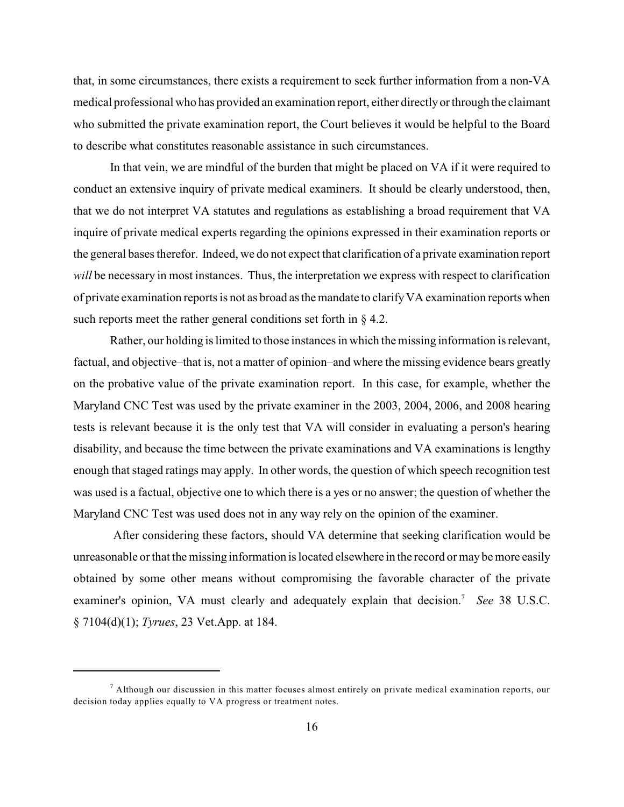that, in some circumstances, there exists a requirement to seek further information from a non-VA medical professional who has provided an examination report, either directly or through the claimant who submitted the private examination report, the Court believes it would be helpful to the Board to describe what constitutes reasonable assistance in such circumstances.

In that vein, we are mindful of the burden that might be placed on VA if it were required to conduct an extensive inquiry of private medical examiners. It should be clearly understood, then, that we do not interpret VA statutes and regulations as establishing a broad requirement that VA inquire of private medical experts regarding the opinions expressed in their examination reports or the general bases therefor. Indeed, we do not expect that clarification of a private examination report *will* be necessary in most instances. Thus, the interpretation we express with respect to clarification of private examination reports is not as broad as the mandate to clarify VA examination reports when such reports meet the rather general conditions set forth in § 4.2.

Rather, our holding is limited to those instances in which the missing information is relevant, factual, and objective–that is, not a matter of opinion–and where the missing evidence bears greatly on the probative value of the private examination report. In this case, for example, whether the Maryland CNC Test was used by the private examiner in the 2003, 2004, 2006, and 2008 hearing tests is relevant because it is the only test that VA will consider in evaluating a person's hearing disability, and because the time between the private examinations and VA examinations is lengthy enough that staged ratings may apply. In other words, the question of which speech recognition test was used is a factual, objective one to which there is a yes or no answer; the question of whether the Maryland CNC Test was used does not in any way rely on the opinion of the examiner.

 After considering these factors, should VA determine that seeking clarification would be unreasonable or that the missing information is located elsewhere in the record or may be more easily obtained by some other means without compromising the favorable character of the private examiner's opinion, VA must clearly and adequately explain that decision.<sup>7</sup> See 38 U.S.C. § 7104(d)(1); *Tyrues*, 23 Vet.App. at 184.

 $^7$  Although our discussion in this matter focuses almost entirely on private medical examination reports, our decision today applies equally to VA progress or treatment notes.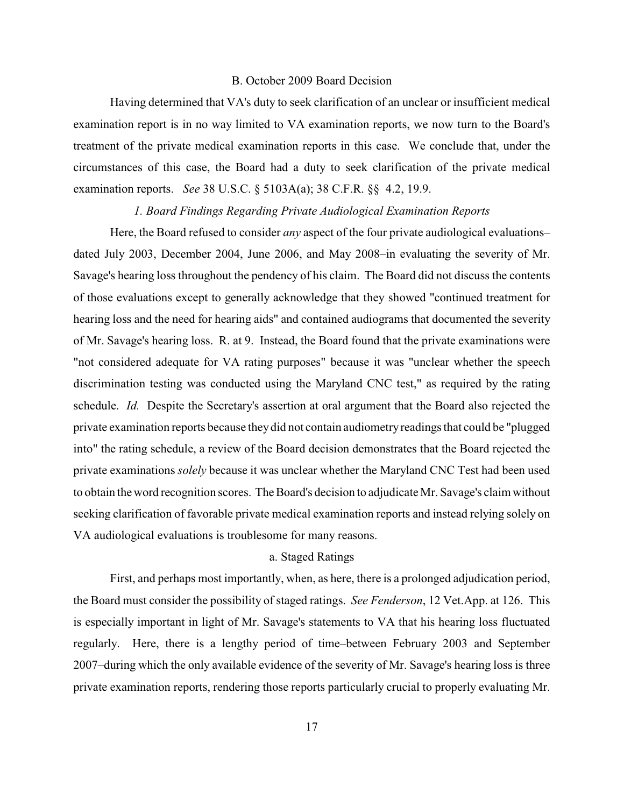#### B. October 2009 Board Decision

Having determined that VA's duty to seek clarification of an unclear or insufficient medical examination report is in no way limited to VA examination reports, we now turn to the Board's treatment of the private medical examination reports in this case. We conclude that, under the circumstances of this case, the Board had a duty to seek clarification of the private medical examination reports. *See* 38 U.S.C. § 5103A(a); 38 C.F.R. §§ 4.2, 19.9.

#### *1. Board Findings Regarding Private Audiological Examination Reports*

Here, the Board refused to consider *any* aspect of the four private audiological evaluations– dated July 2003, December 2004, June 2006, and May 2008–in evaluating the severity of Mr. Savage's hearing loss throughout the pendency of his claim. The Board did not discuss the contents of those evaluations except to generally acknowledge that they showed "continued treatment for hearing loss and the need for hearing aids" and contained audiograms that documented the severity of Mr. Savage's hearing loss. R. at 9. Instead, the Board found that the private examinations were "not considered adequate for VA rating purposes" because it was "unclear whether the speech discrimination testing was conducted using the Maryland CNC test," as required by the rating schedule. *Id.* Despite the Secretary's assertion at oral argument that the Board also rejected the private examination reports because they did not contain audiometryreadings that could be "plugged into" the rating schedule, a review of the Board decision demonstrates that the Board rejected the private examinations *solely* because it was unclear whether the Maryland CNC Test had been used to obtain the word recognition scores. The Board's decision to adjudicate Mr. Savage's claim without seeking clarification of favorable private medical examination reports and instead relying solely on VA audiological evaluations is troublesome for many reasons.

#### a. Staged Ratings

First, and perhaps most importantly, when, as here, there is a prolonged adjudication period, the Board must consider the possibility of staged ratings. *See Fenderson*, 12 Vet.App. at 126. This is especially important in light of Mr. Savage's statements to VA that his hearing loss fluctuated regularly. Here, there is a lengthy period of time–between February 2003 and September 2007–during which the only available evidence of the severity of Mr. Savage's hearing loss is three private examination reports, rendering those reports particularly crucial to properly evaluating Mr.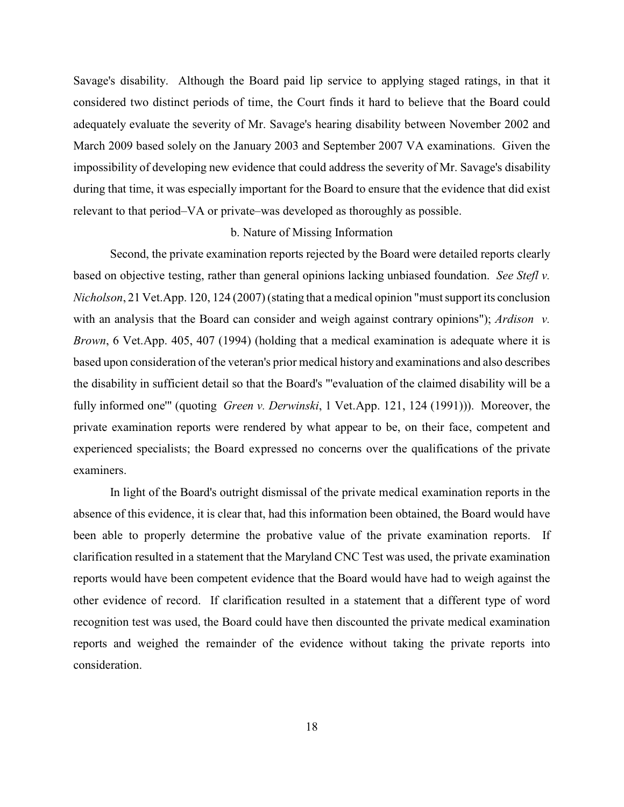Savage's disability. Although the Board paid lip service to applying staged ratings, in that it considered two distinct periods of time, the Court finds it hard to believe that the Board could adequately evaluate the severity of Mr. Savage's hearing disability between November 2002 and March 2009 based solely on the January 2003 and September 2007 VA examinations. Given the impossibility of developing new evidence that could address the severity of Mr. Savage's disability during that time, it was especially important for the Board to ensure that the evidence that did exist relevant to that period–VA or private–was developed as thoroughly as possible.

#### b. Nature of Missing Information

Second, the private examination reports rejected by the Board were detailed reports clearly based on objective testing, rather than general opinions lacking unbiased foundation. *See Stefl v. Nicholson*, 21 Vet.App. 120, 124 (2007) (stating that a medical opinion "must support its conclusion with an analysis that the Board can consider and weigh against contrary opinions"); *Ardison v. Brown*, 6 Vet.App. 405, 407 (1994) (holding that a medical examination is adequate where it is based upon consideration of the veteran's prior medical history and examinations and also describes the disability in sufficient detail so that the Board's "'evaluation of the claimed disability will be a fully informed one'" (quoting *Green v. Derwinski*, 1 Vet.App. 121, 124 (1991))). Moreover, the private examination reports were rendered by what appear to be, on their face, competent and experienced specialists; the Board expressed no concerns over the qualifications of the private examiners.

In light of the Board's outright dismissal of the private medical examination reports in the absence of this evidence, it is clear that, had this information been obtained, the Board would have been able to properly determine the probative value of the private examination reports. If clarification resulted in a statement that the Maryland CNC Test was used, the private examination reports would have been competent evidence that the Board would have had to weigh against the other evidence of record. If clarification resulted in a statement that a different type of word recognition test was used, the Board could have then discounted the private medical examination reports and weighed the remainder of the evidence without taking the private reports into consideration.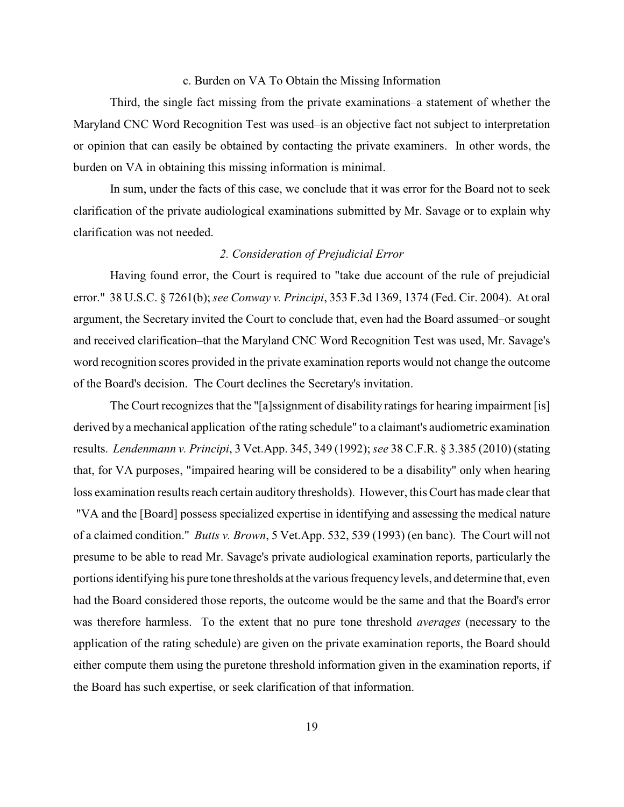#### c. Burden on VA To Obtain the Missing Information

Third, the single fact missing from the private examinations–a statement of whether the Maryland CNC Word Recognition Test was used–is an objective fact not subject to interpretation or opinion that can easily be obtained by contacting the private examiners. In other words, the burden on VA in obtaining this missing information is minimal.

In sum, under the facts of this case, we conclude that it was error for the Board not to seek clarification of the private audiological examinations submitted by Mr. Savage or to explain why clarification was not needed.

## *2. Consideration of Prejudicial Error*

Having found error, the Court is required to "take due account of the rule of prejudicial error." 38 U.S.C. § 7261(b); *see Conway v. Principi*, 353 F.3d 1369, 1374 (Fed. Cir. 2004). At oral argument, the Secretary invited the Court to conclude that, even had the Board assumed–or sought and received clarification–that the Maryland CNC Word Recognition Test was used, Mr. Savage's word recognition scores provided in the private examination reports would not change the outcome of the Board's decision. The Court declines the Secretary's invitation.

The Court recognizes that the "[a]ssignment of disability ratings for hearing impairment [is] derived by a mechanical application of the rating schedule" to a claimant's audiometric examination results. *Lendenmann v. Principi*, 3 Vet.App. 345, 349 (1992); *see* 38 C.F.R. § 3.385 (2010) (stating that, for VA purposes, "impaired hearing will be considered to be a disability" only when hearing loss examination results reach certain auditory thresholds). However, this Court has made clear that "VA and the [Board] possess specialized expertise in identifying and assessing the medical nature of a claimed condition." *Butts v. Brown*, 5 Vet.App. 532, 539 (1993) (en banc). The Court will not presume to be able to read Mr. Savage's private audiological examination reports, particularly the portions identifying his pure tone thresholds at the various frequency levels, and determine that, even had the Board considered those reports, the outcome would be the same and that the Board's error was therefore harmless. To the extent that no pure tone threshold *averages* (necessary to the application of the rating schedule) are given on the private examination reports, the Board should either compute them using the puretone threshold information given in the examination reports, if the Board has such expertise, or seek clarification of that information.